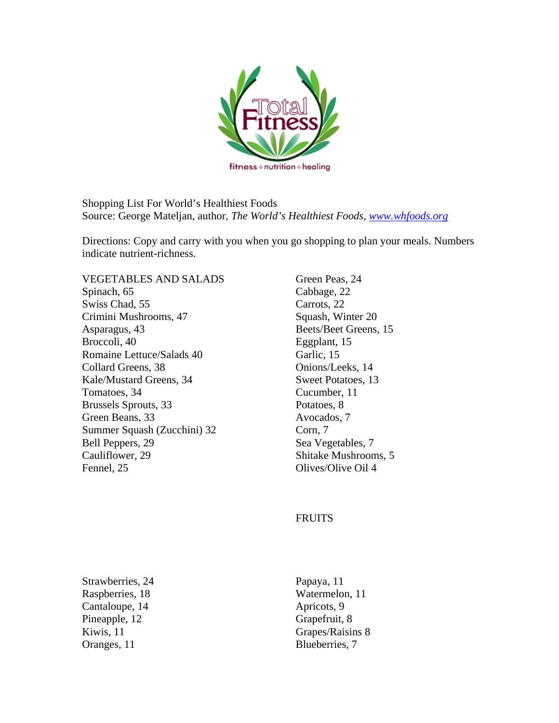

Shopping List For World's Healthiest Foods Source: George Mateljan, author, *The World's Healthiest Foods, [www.whfoods.org](http://www.whfoods.org/)*

Directions: Copy and carry with you when you go shopping to plan your meals. Numbers indicate nutrient-richness.

VEGETABLES AND SALADS Spinach, 65 Swiss Chad, 55 Crimini Mushrooms, 47 Asparagus, 43 Broccoli, 40 Romaine Lettuce/Salads 40 Collard Greens, 38 Kale/Mustard Greens, 34 Tomatoes, 34 Brussels Sprouts, 33 Green Beans, 33 Summer Squash (Zucchini) 32 Bell Peppers, 29 Cauliflower, 29 Fennel, 25

Green Peas, 24 Cabbage, 22 Carrots, 22 Squash, Winter 20 Beets/Beet Greens, 15 Eggplant, 15 Garlic, 15 Onions/Leeks, 14 Sweet Potatoes, 13 Cucumber, 11 Potatoes, 8 Avocados, 7 Corn, 7 Sea Vegetables, 7 Shitake Mushrooms, 5 Olives/Olive Oil 4

#### **FRUITS**

Strawberries, 24 Raspberries, 18 Cantaloupe, 14 Pineapple, 12 Kiwis, 11 Oranges, 11

Papaya, 11 Watermelon, 11 Apricots, 9 Grapefruit, 8 Grapes/Raisins 8 Blueberries, 7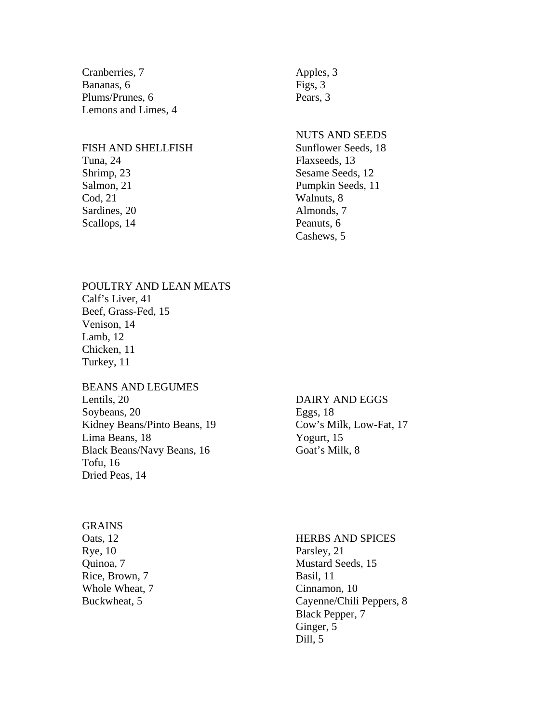Cranberries, 7 Bananas, 6 Plums/Prunes, 6 Lemons and Limes, 4

#### FISH AND SHELLFISH

Tuna, 24 Shrimp, 23 Salmon, 21 Cod, 21 Sardines, 20 Scallops, 14

## Apples, 3 Figs, 3 Pears, 3

# NUTS AND SEEDS

Sunflower Seeds, 18 Flaxseeds, 13 Sesame Seeds, 12 Pumpkin Seeds, 11 Walnuts, 8 Almonds, 7 Peanuts, 6 Cashews, 5

#### POULTRY AND LEAN MEATS

Calf's Liver, 41 Beef, Grass-Fed, 15 Venison, 14 Lamb, 12 Chicken, 11 Turkey, 11

### BEANS AND LEGUMES

Lentils, 20 Soybeans, 20 Kidney Beans/Pinto Beans, 19 Lima Beans, 18 Black Beans/Navy Beans, 16 Tofu, 16 Dried Peas, 14

## DAIRY AND EGGS Eggs, 18 Cow's Milk, Low-Fat, 17 Yogurt, 15 Goat's Milk, 8

#### GRAINS Oats, 12

Rye, 10 Quinoa, 7 Rice, Brown, 7 Whole Wheat, 7 Buckwheat, 5

HERBS AND SPICES Parsley, 21 Mustard Seeds, 15 Basil, 11 Cinnamon, 10 Cayenne/Chili Peppers, 8 Black Pepper, 7 Ginger, 5 Dill, 5